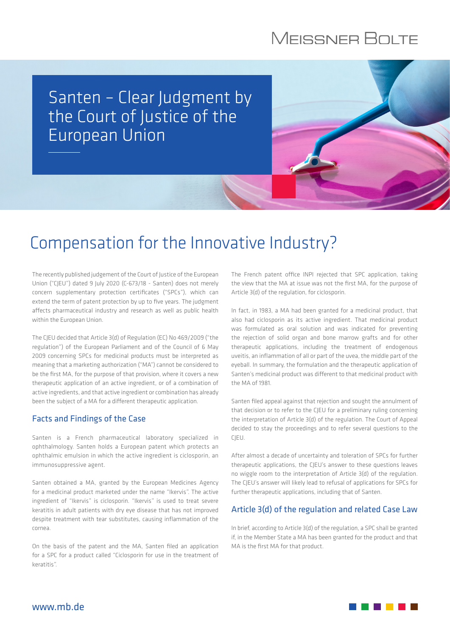# **MEISSNER BOLTE**

### Santen – Clear Judgment by the Court of Justice of the European Union

# Compensation for the Innovative Industry?

The recently published judgement of the Court of Justice of the European Union ("CJEU") dated 9 July 2020 (C-673/18 - Santen) does not merely concern supplementary protection certificates ("SPCs"), which can extend the term of patent protection by up to five years. The judgment affects pharmaceutical industry and research as well as public health within the European Union.

The CJEU decided that Article 3(d) of Regulation (EC) No 469/2009 ("the regulation") of the European Parliament and of the Council of 6 May 2009 concerning SPCs for medicinal products must be interpreted as meaning that a marketing authorization ("MA") cannot be considered to be the first MA, for the purpose of that provision, where it covers a new therapeutic application of an active ingredient, or of a combination of active ingredients, and that active ingredient or combination has already been the subject of a MA for a different therapeutic application.

### Facts and Findings of the Case

Santen is a French pharmaceutical laboratory specialized in ophthalmology. Santen holds a European patent which protects an ophthalmic emulsion in which the active ingredient is ciclosporin, an immunosuppressive agent.

Santen obtained a MA, granted by the European Medicines Agency for a medicinal product marketed under the name "Ikervis". The active ingredient of "Ikervis" is ciclosporin. "Ikervis" is used to treat severe keratitis in adult patients with dry eye disease that has not improved despite treatment with tear substitutes, causing inflammation of the cornea.

On the basis of the patent and the MA, Santen filed an application for a SPC for a product called "Ciclosporin for use in the treatment of keratitis".

The French patent office INPI rejected that SPC application, taking the view that the MA at issue was not the first MA, for the purpose of Article 3(d) of the regulation, for ciclosporin.

In fact, in 1983, a MA had been granted for a medicinal product, that also had ciclosporin as its active ingredient. That medicinal product was formulated as oral solution and was indicated for preventing the rejection of solid organ and bone marrow grafts and for other therapeutic applications, including the treatment of endogenous uveitis, an inflammation of all or part of the uvea, the middle part of the eyeball. In summary, the formulation and the therapeutic application of Santen's medicinal product was different to that medicinal product with the MA of 1981.

Santen filed appeal against that rejection and sought the annulment of that decision or to refer to the CJEU for a preliminary ruling concerning the interpretation of Article 3(d) of the regulation. The Court of Appeal decided to stay the proceedings and to refer several questions to the CJEU.

After almost a decade of uncertainty and toleration of SPCs for further therapeutic applications, the CJEU's answer to these questions leaves no wiggle room to the interpretation of Article 3(d) of the regulation. The CJEU's answer will likely lead to refusal of applications for SPCs for further therapeutic applications, including that of Santen.

### Article 3(d) of the regulation and related Case Law

In brief, according to Article 3(d) of the regulation, a SPC shall be granted if, in the Member State a MA has been granted for the product and that MA is the first MA for that product.